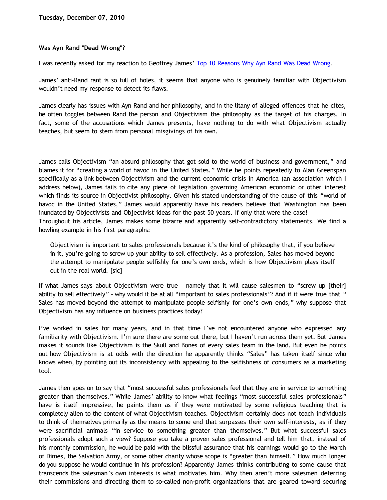## **Was Ayn Rand "Dead Wrong"?**

I was recently asked for my reaction to Geoffrey James' [Top 10 Reasons Why Ayn Rand Was Dead Wrong.](http://www.bnet.com/blog/salesmachine/top-10-reasons-ayn-rand-was-dead-wrong/11984)

James' anti-Rand rant is so full of holes, it seems that anyone who is genuinely familiar with Objectivism wouldn't need my response to detect its flaws.

James clearly has issues with Ayn Rand and her philosophy, and in the litany of alleged offences that he cites, he often toggles between Rand the person and Objectivism the philosophy as the target of his charges. In fact, some of the accusations which James presents, have nothing to do with what Objectivism actually teaches, but seem to stem from personal misgivings of his own.

James calls Objectivism "an absurd philosophy that got sold to the world of business and government," and blames it for "creating a world of havoc in the United States." While he points repeatedly to Alan Greenspan specifically as a link between Objectivism and the current economic crisis in America (an association which I address below), James fails to cite any piece of legislation governing American economic or other interest which finds its source in Objectivist philosophy. Given his stated understanding of the cause of this "world of havoc in the United States," James would apparently have his readers believe that Washington has been inundated by Objectivists and Objectivist ideas for the past 50 years. If only that were the case! Throughout his article, James makes some bizarre and apparently self-contradictory statements. We find a howling example in his first paragraphs:

Objectivism is important to sales professionals because it's the kind of philosophy that, if you believe in it, you're going to screw up your ability to sell effectively. As a profession, Sales has moved beyond the attempt to manipulate people selfishly for one's own ends, which is how Objectivism plays itself out in the real world. [sic]

If what James says about Objectivism were true – namely that it will cause salesmen to "screw up [their] ability to sell effectively" – why would it be at all "important to sales professionals"? And if it were true that " Sales has moved beyond the attempt to manipulate people selfishly for one's own ends," why suppose that Objectivism has any influence on business practices today?

I've worked in sales for many years, and in that time I've not encountered anyone who expressed any familiarity with Objectivism. I'm sure there are some out there, but I haven't run across them yet. But James makes it sounds like Objectivism is the Skull and Bones of every sales team in the land. But even he points out how Objectivism is at odds with the direction he apparently thinks "Sales" has taken itself since who knows when, by pointing out its inconsistency with appealing to the selfishness of consumers as a marketing tool.

James then goes on to say that "most successful sales professionals feel that they are in service to something greater than themselves." While James' ability to know what feelings "most successful sales professionals" have is itself impressive, he paints them as if they were motivated by some religious teaching that is completely alien to the content of what Objectivism teaches. Objectivism certainly does not teach individuals to think of themselves primarily as the means to some end that surpasses their own self-interests, as if they were sacrificial animals "in service to something greater than themselves." But what successful sales professionals adopt such a view? Suppose you take a proven sales professional and tell him that, instead of his monthly commission, he would be paid with the blissful assurance that his earnings would go to the March of Dimes, the Salvation Army, or some other charity whose scope is "greater than himself." How much longer do you suppose he would continue in his profession? Apparently James thinks contributing to some cause that transcends the salesman's own interests is what motivates him. Why then aren't more salesmen deferring their commissions and directing them to so-called non-profit organizations that are geared toward securing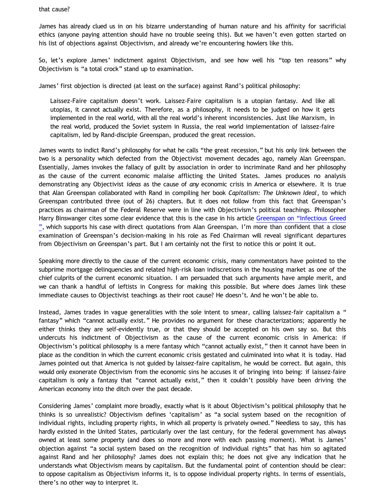that cause?

James has already clued us in on his bizarre understanding of human nature and his affinity for sacrificial ethics (anyone paying attention should have no trouble seeing this). But we haven't even gotten started on his list of objections against Objectivism, and already we're encountering howlers like this.

So, let's explore James' indictment against Objectivism, and see how well his "top ten reasons" why Objectivism is "a total crock" stand up to examination.

James' first objection is directed (at least on the surface) against Rand's political philosophy:

Laissez-Faire capitalism doesn't work. Laissez-Faire capitalism is a utopian fantasy. And like all utopias, it cannot actually exist. Therefore, as a philosophy, it needs to be judged on how it gets implemented in the real world, with all the real world's inherent inconsistencies. Just like Marxism, in the real world, produced the Soviet system in Russia, the real world implementation of laissez-faire capitalism, led by Rand-disciple Greenspan, produced the great recession.

James wants to indict Rand's philosophy for what he calls "the great recession," but his only link between the two is a personality which defected from the Objectivist movement decades ago, namely Alan Greenspan. Essentially, James invokes the fallacy of guilt by association in order to incriminate Rand and her philosophy as the cause of the current economic malaise afflicting the United States. James produces no analysis demonstrating any Objectivist *ideas* as the cause of *any* economic crisis in America or elsewhere. It is true that Alan Greenspan collaborated with Rand in compiling her book *Capitalism: The Unknown Ideal*, to which Greenspan contributed three (out of 26) chapters. But it does not follow from this fact that Greenspan's practices as chairman of the Federal Reserve were in line with Objectivism's political teachings. Philosopher Harry Binswanger cites some clear evidence that this is the case in his article [Greenspan on](http://www.capitalismmagazine.com/index.php?news=1825) ["Infectious Greed](http://www.capitalismmagazine.com/index.php?news=1825) [",](http://www.capitalismmagazine.com/index.php?news=1825) which supports his case with direct quotations from Alan Greenspan. I'm more than confident that a close examination of Greenspan's decision-making in his role as Fed Chairman will reveal significant departures from Objectivism on Greenspan's part. But I am certainly not the first to notice this or point it out.

Speaking more directly to the cause of the current economic crisis, many commentators have pointed to the subprime mortgage delinquencies and related high-risk loan indiscretions in the housing market as one of the chief culprits of the current economic situation. I am persuaded that such arguments have ample merit, and we can thank a handful of leftists in Congress for making this possible. But where does James link these immediate causes to Objectivist teachings as their root cause? He doesn't. And he won't be able to.

Instead, James trades in vague generalities with the sole intent to smear, calling laissez-fair capitalism a " fantasy" which "cannot actually exist." He provides no argument for these characterizations; apparently he either thinks they are self-evidently true, or that they should be accepted on his own say so. But this undercuts his indictment of Objectivism as the cause of the current economic crisis in America: if Objectivism's political philosophy is a mere fantasy which "cannot actually exist," then it cannot have been in place as the condition in which the current economic crisis gestated and culminated into what it is today. Had James pointed out that America is not guided by laissez-faire capitalism, he would be correct. But again, this would only exonerate Objectivism from the economic sins he accuses it of bringing into being: if laissez-faire capitalism is only a fantasy that "cannot actually exist," then it couldn't possibly have been driving the American economy into the ditch over the past decade.

Considering James' complaint more broadly, exactly what is it about Objectivism's political philosophy that he thinks is so unrealistic? Objectivism defines 'capitalism' as "a social system based on the recognition of individual rights, including property rights, in which all property is privately owned." Needless to say, this has hardly existed in the United States, particularly over the last century, for the federal government has always owned at least some property (and does so more and more with each passing moment). What is James' objection against "a social system based on the recognition of individual rights" that has him so agitated against Rand and her philosophy? James does not explain this; he does not give any indication that he understands what Objectivism means by capitalism. But the fundamental point of contention should be clear: to oppose capitalism as Objectivism informs it, is to oppose individual property rights. In terms of essentials, there's no other way to interpret it.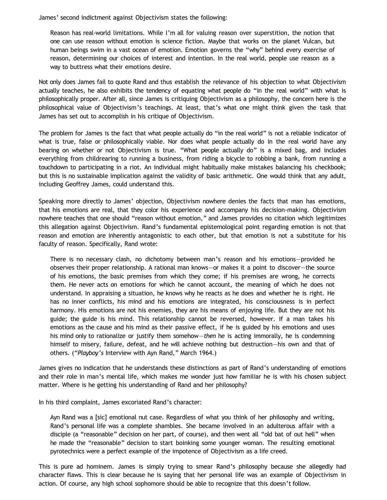James' second indictment against Objectivism states the following:

Reason has real-world limitations. While I'm all for valuing reason over superstition, the notion that one can use reason without emotion is science fiction. Maybe that works on the planet Vulcan, but human beings swim in a vast ocean of emotion. Emotion governs the "why" behind every exercise of reason, determining our choices of interest and intention. In the real world, people use reason as a way to buttress what their emotions desire.

Not only does James fail to quote Rand and thus establish the relevance of his objection to what Objectivism actually teaches, he also exhibits the tendency of equating what people do "in the real world" with what is philosophically proper. After all, since James is critiquing Objectivism as a philosophy, the concern here is the philosophical value of Objectivism's teachings. At least, that's what one might think given the task that James has set out to accomplish in his critique of Objectivism.

The problem for James is the fact that what people actually do "in the real world" is not a reliable indicator of what is true, false or philosophically viable. Nor does what people actually do in the real world have any bearing on whether or not Objectivism is true. "What people actually do" is a mixed bag, and includes everything from childrearing to running a business, from riding a bicycle to robbing a bank, from running a touchdown to participating in a riot. An individual might habitually make mistakes balancing his checkbook; but this is no sustainable implication against the validity of basic arithmetic. One would think that any adult, including Geoffrey James, could understand this.

Speaking more directly to James' objection, Objectivism nowhere denies the facts that man has emotions, that his emotions are real, that they color his experience and accompany his decision-making. Objectivism nowhere teaches that one should "reason without emotion," and James provides no citation which legitimizes this allegation against Objectivism. Rand's fundamental epistemological point regarding emotion is not that reason and emotion are inherently antagonistic to each other, but that emotion is not a substitute for his faculty of reason. Specifically, Rand wrote:

There is no necessary clash, no dichotomy between man's reason and his emotions—provided he observes their proper relationship. A rational man knows—or makes it a point to discover—the source of his emotions, the basic premises from which they come; if his premises are wrong, he corrects them. He never acts on emotions for which he cannot account, the meaning of which he does not understand. In appraising a situation, he knows why he reacts as he does and whether he is right. He has no inner conflicts, his mind and his emotions are integrated, his consciousness is in perfect harmony. His emotions are not his enemies, they are his means of enjoying life. But they are not his guide; the guide is his mind. This relationship cannot be reversed, however. If a man takes his emotions as the cause and his mind as their passive effect, if he is guided by his emotions and uses his mind only to rationalize or justify them somehow—*then* he is acting immorally, he is condemning himself to misery, failure, defeat, and he will achieve nothing but destruction—his own and that of others. ("*Playboy's* Interview with Ayn Rand," March 1964.)

James gives no indication that he understands these distinctions as part of Rand's understanding of emotions and their role in man's mental life, which makes me wonder just how familiar he is with his chosen subject matter. Where is he getting his understanding of Rand and her philosophy?

In his third complaint, James excoriated Rand's character:

Ayn Rand was a [sic] emotional nut case. Regardless of what you think of her philosophy and writing, Rand's personal life was a complete shambles. She became involved in an adulterous affair with a disciple (a "reasonable" decision on her part, of course), and then went all "old bat of out hell" when he made the "reasonable" decision to start boinking some younger woman. The resulting emotional pyrotechnics were a perfect example of the impotence of Objectivism as a life creed.

This is pure ad hominem. James is simply trying to smear Rand's philosophy because she allegedly had character flaws. This is clear because he is saying that her personal life was an example of Objectivism in action. Of course, any high school sophomore should be able to recognize that this doesn't follow.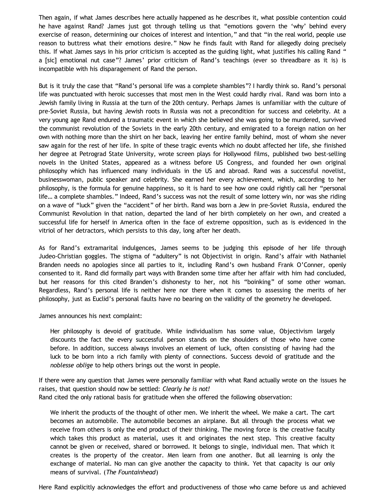Then again, if what James describes here actually happened as he describes it, what possible contention could he have against Rand? James just got through telling us that "emotions govern the 'why' behind every exercise of reason, determining our choices of interest and intention," and that "in the real world, people use reason to buttress what their emotions desire." Now he finds fault with Rand for allegedly doing precisely this. If what James says in his prior criticism is accepted as the guiding light, what justifies his calling Rand " a [sic] emotional nut case"? James' prior criticism of Rand's teachings (ever so threadbare as it is) is incompatible with his disparagement of Rand the person.

But is it truly the case that "Rand's personal life was a complete shambles"? I hardly think so. Rand's personal life was punctuated with heroic successes that most men in the West could hardly rival. Rand was born into a Jewish family living in Russia at the turn of the 20th century. Perhaps James is unfamiliar with the culture of pre-Soviet Russia, but having Jewish roots in Russia was not a precondition for success and celebrity. At a very young age Rand endured a traumatic event in which she believed she was going to be murdered, survived the communist revolution of the Soviets in the early 20th century, and emigrated to a foreign nation on her own with nothing more than the shirt on her back, leaving her entire family behind, most of whom she never saw again for the rest of her life. In spite of these tragic events which no doubt affected her life, she finished her degree at Petrograd State University, wrote screen plays for Hollywood films, published two best-selling novels in the United States, appeared as a witness before US Congress, and founded her own original philosophy which has influenced many individuals in the US and abroad. Rand was a successful novelist, businesswoman, public speaker and celebrity. She earned her every achievement, which, according to her philosophy, is the formula for genuine happiness, so it is hard to see how one could rightly call her "personal life… a complete shambles." Indeed, Rand's success was not the result of some lottery win, nor was she riding on a wave of "luck" given the "accident" of her birth. Rand was born a Jew in pre-Soviet Russia, endured the Communist Revolution in that nation, departed the land of her birth completely on her own, and created a successful life for herself in America often in the face of extreme opposition, such as is evidenced in the vitriol of her detractors, which persists to this day, long after her death.

As for Rand's extramarital indulgences, James seems to be judging this episode of her life through Judeo-Christian goggles. The stigma of "adultery" is not Objectivist in origin. Rand's affair with Nathaniel Branden needs no apologies since all parties to it, including Rand's own husband Frank O'Conner, openly consented to it. Rand did formally part ways with Branden some time after her affair with him had concluded, but her reasons for this cited Branden's dishonesty to her, not his "boinking" of some other woman. Regardless, Rand's personal life is neither here nor there when it comes to assessing the merits of her philosophy, just as Euclid's personal faults have no bearing on the validity of the geometry he developed.

James announces his next complaint:

Her philosophy is devoid of gratitude. While individualism has some value, Objectivism largely discounts the fact the every successful person stands on the shoulders of those who have come before. In addition, success always involves an element of luck, often consisting of having had the luck to be born into a rich family with plenty of connections. Success devoid of gratitude and the *noblesse oblige* to help others brings out the worst in people.

If there were any question that James were personally familiar with what Rand actually wrote on the issues he raises, that question should now be settled: *Clearly he is not!* Rand cited the only rational basis for gratitude when she offered the following observation:

We inherit the products of the thought of other men. We inherit the wheel. We make a cart. The cart becomes an automobile. The automobile becomes an airplane. But all through the process what we receive from others is only the end product of their thinking. The moving force is the creative faculty which takes this product as material, uses it and originates the next step. This creative faculty cannot be given or received, shared or borrowed. It belongs to single, individual men. That which it creates is the property of the creator. Men learn from one another. But all learning is only the exchange of material. No man can give another the capacity to think. Yet that capacity is our only means of survival. (*The Fountainhead*)

Here Rand explicitly acknowledges the effort and productiveness of those who came before us and achieved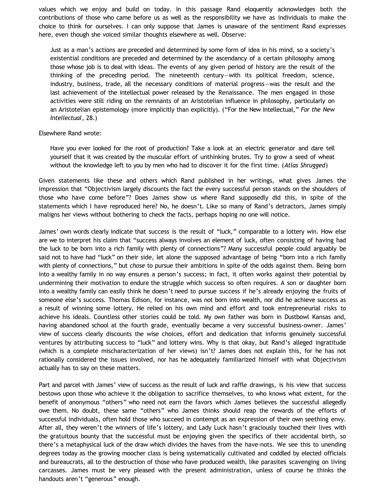values which we enjoy and build on today. In this passage Rand eloquently acknowledges both the contributions of those who came before us as well as the responsibility we have as individuals to make the choice to think for ourselves. I can only suppose that James is unaware of the sentiment Rand expresses here, even though she voiced similar thoughts elsewhere as well. Observe:

Just as a man's actions are preceded and determined by some form of idea in his mind, so a society's existential conditions are preceded and determined by the ascendancy of a certain philosophy among those whose job is to deal with ideas. The events of any given period of history are the result of the thinking of the preceding period. The nineteenth century—with its political freedom, science, industry, business, trade, all the necessary conditions of material progress—was the result and the last achievement of the intellectual power released by the Renaissance. The men engaged in those activities were still riding on the remnants of an Aristotelian influence in philosophy, particularly on an Aristotelian epistemology (more implicitly than explicitly). ("For the New Intellectual," *For the New Intellectual*, 28.)

## Elsewhere Rand wrote:

Have you ever looked for the root of production? Take a look at an electric generator and dare tell yourself that it was created by the muscular effort of unthinking brutes. Try to grow a seed of wheat without the knowledge left to you by men who had to discover it for the first time. (*Atlas Shrugged*)

Given statements like these and others which Rand published in her writings, what gives James the impression that "Objectivism largely discounts the fact the every successful person stands on the shoulders of those who have come before"? Does James show us where Rand supposedly did this, in spite of the statements which I have reproduced here? No, he doesn't. Like so many of Rand's detractors, James simply maligns her views without bothering to check the facts, perhaps hoping no one will notice.

James' own words clearly indicate that success is the result of "luck," comparable to a lottery win. How else are we to interpret his claim that "success always involves an element of luck, often consisting of having had the luck to be born into a rich family with plenty of connections"? Many successful people could arguably be said not to have had "luck" on their side, let alone the supposed advantage of being "born into a rich family with plenty of connections," but *chose* to pursue their ambitions in spite of the odds against them. Being born into a wealthy family in no way ensures a person's success; in fact, it often works against their potential by undermining their motivation to endure the struggle which success so often requires. A son or daughter born into a wealthy family can easily think he doesn't need to pursue success if he's already enjoying the fruits of someone else's success. Thomas Edison, for instance, was not born into wealth, nor did he achieve success as a result of winning some lottery. He relied on his own mind and effort and took entrepreneurial risks to achieve his ideals. Countless other stories could be told. My own father was born in Dustbowl Kansas and, having abandoned school at the fourth grade, eventually became a very successful business-owner. James' view of success clearly discounts the wise choices, effort and dedication that informs genuinely successful ventures by attributing success to "luck" and lottery wins. Why is that okay, but Rand's alleged ingratitude (which is a complete mischaracterization of her views) isn't? James does not explain this, for he has not rationally considered the issues involved, nor has he adequately familiarized himself with what Objectivism actually has to say on these matters.

Part and parcel with James' view of success as the result of luck and raffle drawings, is his view that success bestows upon those who achieve it the obligation to sacrifice themselves, to who knows what extent, for the benefit of anonymous "others" who need not earn the favors which James believes the successful allegedly owe them. No doubt, these same "others" who James thinks should reap the rewards of the efforts of successful individuals, often hold those who succeed in contempt as an expression of their own seething envy. After all, they weren't the winners of life's lottery, and Lady Luck hasn't graciously touched their lives with the gratuitous bounty that the successful must be enjoying given the specifics of their accidental birth, so there's a metaphysical luck of the draw which divides the haves from the have-nots. We see this to unending degrees today as the growing moocher class is being systematically cultivated and coddled by elected officials and bureaucrats, all to the destruction of those who have produced wealth, like parasites scavenging on living carcasses. James must be very pleased with the present administration, unless of course he thinks the handouts aren't "generous" enough.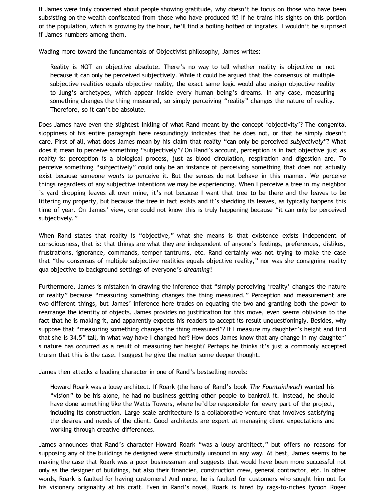If James were truly concerned about people showing gratitude, why doesn't he focus on those who have been subsisting on the wealth confiscated from those who have produced it? If he trains his sights on this portion of the population, which is growing by the hour, he'll find a boiling hotbed of ingrates. I wouldn't be surprised if James numbers among them.

Wading more toward the fundamentals of Objectivist philosophy, James writes:

Reality is NOT an objective absolute. There's no way to tell whether reality is objective or not because it can only be perceived subjectively. While it could be argued that the consensus of multiple subjective realities equals objective reality, the exact same logic would also assign objective reality to Jung's archetypes, which appear inside every human being's dreams. In any case, measuring something changes the thing measured, so simply perceiving "reality" changes the nature of reality. Therefore, so it can't be absolute.

Does James have even the slightest inkling of what Rand meant by the concept 'objectivity'? The congenital sloppiness of his entire paragraph here resoundingly indicates that he does not, or that he simply doesn't care. First of all, what does James mean by his claim that reality "can only be perceived *subjectively*"? What does it mean to perceive something "subjectively"? On Rand's account, perception is in fact objective just as reality is: perception is a biological process, just as blood circulation, respiration and digestion are. To perceive something "subjectively" could only be an instance of perceiving something that does not actually exist because someone *wants* to perceive it. But the senses do not behave in this manner. We perceive things regardless of any subjective intentions we may be experiencing. When I perceive a tree in my neighbor 's yard dropping leaves all over mine, it's not because I want that tree to be there and the leaves to be littering my property, but because the tree in fact exists and it's shedding its leaves, as typically happens this time of year. On James' view, one could not know this is truly happening because "it can only be perceived subjectively."

When Rand states that reality is "objective," what she means is that existence exists independent of consciousness, that is: that things are what they are independent of anyone's feelings, preferences, dislikes, frustrations, ignorance, commands, temper tantrums, etc. Rand certainly was not trying to make the case that "the consensus of multiple subjective realities equals objective reality," nor was she consigning reality qua objective to background settings of everyone's *dreaming*!

Furthermore, James is mistaken in drawing the inference that "simply perceiving 'reality' changes the nature of reality" because "measuring something changes the thing measured." Perception and measurement are two different things, but James' inference here trades on equating the two and granting both the power to rearrange the identity of objects. James provides no justification for this move, even seems oblivious to the fact that he is making it, and apparently expects his readers to accept its result unquestioningly. Besides, why suppose that "measuring something changes the thing measured"? If I measure my daughter's height and find that she is 34.5" tall, in what way have I changed her? How does James know that any change in my daughter' s nature has occurred as a result of measuring her height? Perhaps he thinks it's just a commonly accepted truism that this is the case. I suggest he give the matter some deeper thought.

James then attacks a leading character in one of Rand's bestselling novels:

Howard Roark was a lousy architect. If Roark (the hero of Rand's book *The Fountainhead*) wanted his "vision" to be his alone, he had no business getting other people to bankroll it. Instead, he should have done something like the Watts Towers, where he'd be responsible for every part of the project, including its construction. Large scale architecture is a collaborative venture that involves satisfying the desires and needs of the client. Good architects are expert at managing client expectations and working through creative differences.

James announces that Rand's character Howard Roark "was a lousy architect," but offers no reasons for supposing any of the buildings he designed were structurally unsound in any way. At best, James seems to be making the case that Roark was a poor businessman and suggests that would have been more successful not only as the designer of buildings, but also their financier, construction crew, general contractor, etc. In other words, Roark is faulted for having customers! And more, he is faulted for customers who sought him out for his visionary originality at his craft. Even in Rand's novel, Roark is hired by rags-to-riches tycoon Roger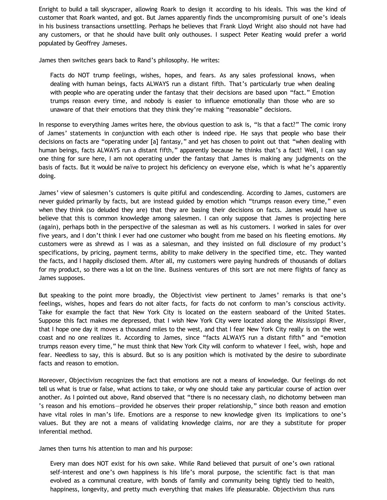Enright to build a tall skyscraper, allowing Roark to design it according to his ideals. This was the kind of customer that Roark wanted, and got. But James apparently finds the uncompromising pursuit of one's ideals in his business transactions unsettling. Perhaps he believes that Frank Lloyd Wright also should not have had any customers, or that he should have built only outhouses. I suspect Peter Keating would prefer a world populated by Geoffrey Jameses.

James then switches gears back to Rand's philosophy. He writes:

Facts do NOT trump feelings, wishes, hopes, and fears. As any sales professional knows, when dealing with human beings, facts ALWAYS run a distant fifth. That's particularly true when dealing with people who are operating under the fantasy that their decisions are based upon "fact." Emotion trumps reason every time, and nobody is easier to influence emotionally than those who are so unaware of that their emotions that they think they're making "reasonable" decisions.

In response to everything James writes here, the obvious question to ask is, "Is that a fact?" The comic irony of James' statements in conjunction with each other is indeed ripe. He says that people who base their decisions on facts are "operating under [a] fantasy," and yet has chosen to point out that "when dealing with human beings, facts ALWAYS run a distant fifth," apparently because he thinks that's a fact! Well, I can say one thing for sure here, I am not operating under the fantasy that James is making any judgments on the basis of facts. But it would be naïve to project his deficiency on everyone else, which is what he's apparently doing.

James' view of salesmen's customers is quite pitiful and condescending. According to James, customers are never guided primarily by facts, but are instead guided by emotion which "trumps reason every time," even when they think (so deluded they are) that they are basing their decisions on facts. James would have us believe that this is common knowledge among salesmen. I can only suppose that James is projecting here (again), perhaps both in the perspective of the salesman as well as his customers. I worked in sales for over five years, and I don't think I ever had one customer who bought from me based on his fleeting emotions. My customers were as shrewd as I was as a salesman, and they insisted on full disclosure of my product's specifications, by pricing, payment terms, ability to make delivery in the specified time, etc. They wanted the facts, and I happily disclosed them. After all, my customers were paying hundreds of thousands of dollars for my product, so there was a lot on the line. Business ventures of this sort are not mere flights of fancy as James supposes.

But speaking to the point more broadly, the Objectivist view pertinent to James' remarks is that one's feelings, wishes, hopes and fears do not alter facts, for facts do not conform to man's conscious activity. Take for example the fact that New York City is located on the eastern seaboard of the United States. Suppose this fact makes me depressed, that I wish New York City were located along the Mississippi River, that I hope one day it moves a thousand miles to the west, and that I fear New York City really is on the west coast and no one realizes it. According to James, since "facts ALWAYS run a distant fifth" and "emotion trumps reason every time," he must think that New York City will conform to whatever I feel, wish, hope and fear. Needless to say, this is absurd. But so is any position which is motivated by the desire to subordinate facts and reason to emotion.

Moreover, Objectivism recognizes the fact that emotions are not a means of knowledge. Our feelings do not tell us what is true or false, what actions to take, or why one should take any particular course of action over another. As I pointed out above, Rand observed that "there is no necessary clash, no dichotomy between man 's reason and his emotions—provided he observes their proper relationship," since both reason and emotion have vital roles in man's life. Emotions are a response to new knowledge given its implications to one's values. But they are not a means of validating knowledge claims, nor are they a substitute for proper inferential method.

James then turns his attention to man and his purpose:

Every man does NOT exist for his own sake. While Rand believed that pursuit of one's own rational self-interest and one's own happiness is his life's moral purpose, the scientific fact is that man evolved as a communal creature, with bonds of family and community being tightly tied to health, happiness, longevity, and pretty much everything that makes life pleasurable. Objectivism thus runs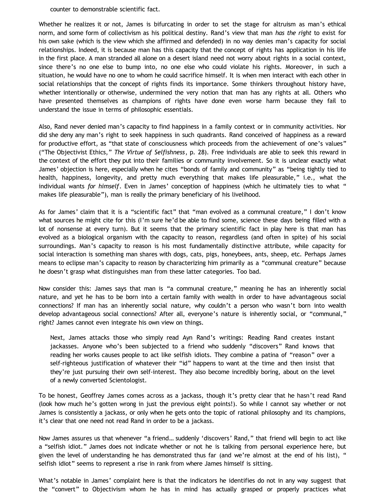counter to demonstrable scientific fact.

Whether he realizes it or not, James is bifurcating in order to set the stage for altruism as man's ethical norm, and some form of collectivism as his political destiny. Rand's view that man *has the right* to exist for his own sake (which is the view which she affirmed and defended) in no way denies man's capacity for social relationships. Indeed, it is because man has this capacity that the concept of rights has application in his life in the first place. A man stranded all alone on a desert island need not worry about rights in a social context, since there's no one else to bump into, no one else who could violate his rights. Moreover, in such a situation, he would have no one to whom he could sacrifice himself. It is when men interact with each other in social relationships that the concept of rights finds its importance. Some thinkers throughout history have, whether intentionally or otherwise, undermined the very notion that man has any rights at all. Others who have presented themselves as champions of rights have done even worse harm because they fail to understand the issue in terms of philosophic essentials.

Also, Rand never denied man's capacity to find happiness in a family context or in community activities. Nor did she deny any man's right to seek happiness in such quadrants. Rand conceived of happiness as a reward for productive effort, as "that state of consciousness which proceeds from the achievement of one's values" ("The Objectivist Ethics," *The Virtue of Selfishness*, p. 28). Free individuals are able to seek this reward in the context of the effort they put into their families or community involvement. So it is unclear exactly what James' objection is here, especially when he cites "bonds of family and community" as "being tightly tied to health, happiness, longevity, and pretty much everything that makes life pleasurable," i.e., what the individual wants *for himself*. Even in James' conception of happiness (which he ultimately ties to what " makes life pleasurable"), man is really the primary beneficiary of his livelihood.

As for James' claim that it is a "scientific fact" that "man evolved as a communal creature," I don't know what sources he might cite for this (I'm sure he'd be able to find some, science these days being filled with a lot of nonsense at every turn). But it seems that the primary scientific fact in play here is that man has evolved as a biological organism with the capacity to reason, regardless (and often in spite) of his social surroundings. Man's capacity to reason is his most fundamentally distinctive attribute, while capacity for social interaction is something man shares with dogs, cats, pigs, honeybees, ants, sheep, etc. Perhaps James means to eclipse man's capacity to reason by characterizing him primarily as a "communal creature" because he doesn't grasp what distinguishes man from these latter categories. Too bad.

Now consider this: James says that man is "a communal creature," meaning he has an inherently social nature, and yet he has to be born into a certain family with wealth in order to have advantageous social connections? If man has an inherently social nature, why couldn't a person who wasn't born into wealth develop advantageous social connections? After all, everyone's nature is inherently social, or "communal," right? James cannot even integrate his own view on things.

Next, James attacks those who simply read Ayn Rand's writings: Reading Rand creates instant jackasses. Anyone who's been subjected to a friend who suddenly "discovers" Rand knows that reading her works causes people to act like selfish idiots. They combine a patina of "reason" over a self-righteous justification of whatever their "id" happens to want at the time and then insist that they're just pursuing their own self-interest. They also become incredibly boring, about on the level of a newly converted Scientologist.

To be honest, Geoffrey James comes across as a jackass, though it's pretty clear that he hasn't read Rand (look how much he's gotten wrong in just the previous eight points!). So while I cannot say whether or not James is consistently a jackass, or only when he gets onto the topic of rational philosophy and its champions, it's clear that one need not read Rand in order to be a jackass.

Now James assures us that whenever "a friend… suddenly 'discovers' Rand," that friend will begin to act like a "selfish idiot." James does not indicate whether or not he is talking from personal experience here, but given the level of understanding he has demonstrated thus far (and we're almost at the end of his list), " selfish idiot" seems to represent a rise in rank from where James himself is sitting.

What's notable in James' complaint here is that the indicators he identifies do not in any way suggest that the "convert" to Objectivism whom he has in mind has actually grasped or properly practices what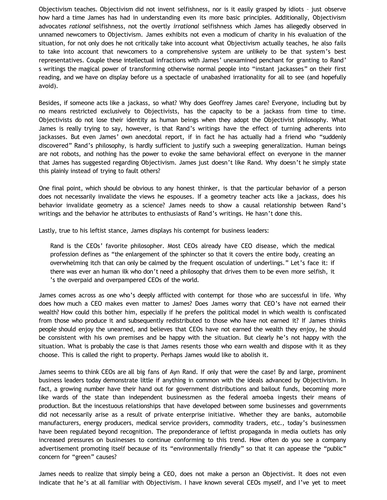Objectivism teaches. Objectivism did not invent selfishness, nor is it easily grasped by idiots – just observe how hard a time James has had in understanding even its more basic principles. Additionally, Objectivism advocates *rational* selfishness, not the overtly *irrational* selfishness which James has allegedly observed in unnamed newcomers to Objectivism. James exhibits not even a modicum of charity in his evaluation of the situation, for not only does he not critically take into account what Objectivism actually teaches, he also fails to take into account that newcomers to a comprehensive system are unlikely to be that system's best representatives. Couple these intellectual infractions with James' unexamined penchant for granting to Rand' s writings the magical power of transforming otherwise normal people into "instant jackasses" on their first reading, and we have on display before us a spectacle of unabashed irrationality for all to see (and hopefully avoid).

Besides, if someone acts like a jackass, so what? Why does Geoffrey James care? Everyone, including but by no means restricted exclusively to Objectivists, has the capacity to be a jackass from time to time. Objectivists do not lose their identity as human beings when they adopt the Objectivist philosophy. What James is really trying to say, however, is that Rand's writings have the effect of turning adherents into jackasses. But even James' own anecdotal report, if in fact he has actually had a friend who "suddenly discovered" Rand's philosophy, is hardly sufficient to justify such a sweeping generalization. Human beings are not robots, and nothing has the power to evoke the same behavioral effect on everyone in the manner that James has suggested regarding Objectivism. James just doesn't like Rand. Why doesn't he simply state this plainly instead of trying to fault others?

One final point, which should be obvious to any honest thinker, is that the particular behavior of a person does not necessarily invalidate the views he espouses. If a geometry teacher acts like a jackass, does his behavior invalidate geometry as a science? James needs to show a causal relationship between Rand's writings and the behavior he attributes to enthusiasts of Rand's writings. He hasn't done this.

Lastly, true to his leftist stance, James displays his contempt for business leaders:

Rand is the CEOs' favorite philosopher. Most CEOs already have CEO disease, which the medical profession defines as "the enlargement of the sphincter so that it covers the entire body, creating an overwhelming itch that can only be calmed by the frequent osculation of underlings." Let's face it: if there was ever an human ilk who don't need a philosophy that drives them to be even more selfish, it 's the overpaid and overpampered CEOs of the world.

James comes across as one who's deeply afflicted with contempt for those who are successful in life. Why does how much a CEO makes even matter to James? Does James worry that CEO's have not earned their wealth? How could this bother him, especially if he prefers the political model in which wealth is confiscated from those who produce it and subsequently redistributed to those who have not earned it? If James thinks people should enjoy the unearned, and believes that CEOs have not earned the wealth they enjoy, he should be consistent with his own premises and be happy with the situation. But clearly he's not happy with the situation. What is probably the case is that James resents those who earn wealth and dispose with it as they choose. This is called the right to property. Perhaps James would like to abolish it.

James seems to think CEOs are all big fans of Ayn Rand. If only that were the case! By and large, prominent business leaders today demonstrate little if anything in common with the ideals advanced by Objectivism. In fact, a growing number have their hand out for government distributions and bailout funds, becoming more like wards of the state than independent businessmen as the federal amoeba ingests their means of production. But the incestuous relationships that have developed between some businesses and governments did not necessarily arise as a result of private enterprise initiative. Whether they are banks, automobile manufacturers, energy producers, medical service providers, commodity traders, etc., today's businessmen have been regulated beyond recognition. The preponderance of leftist propaganda in media outlets has only increased pressures on businesses to continue conforming to this trend. How often do you see a company advertisement promoting itself because of its "environmentally friendly" so that it can appease the "public" concern for "green" causes?

James needs to realize that simply being a CEO, does not make a person an Objectivist. It does not even indicate that he's at all familiar with Objectivism. I have known several CEOs myself, and I've yet to meet